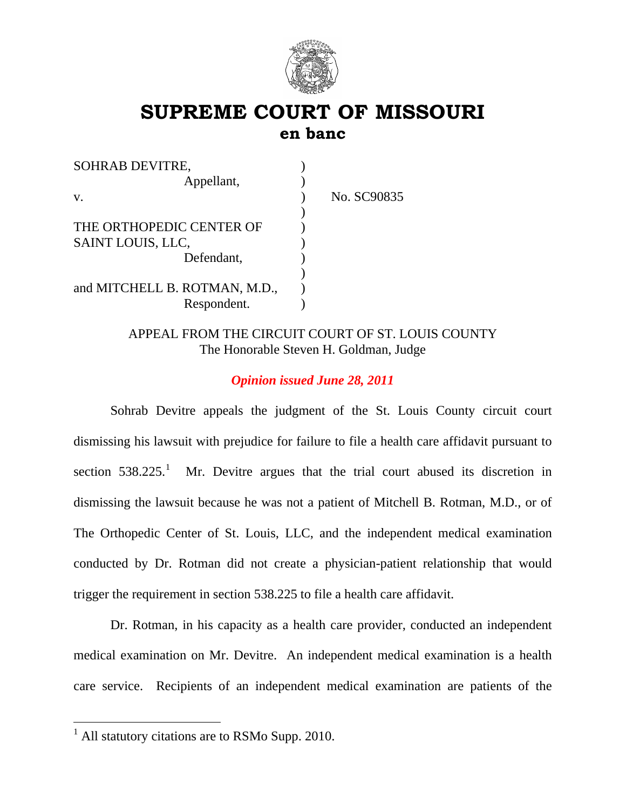

# **SUPREME COURT OF MISSOURI en banc**

| <b>SOHRAB DEVITRE,</b>        |             |
|-------------------------------|-------------|
| Appellant,                    |             |
| V.                            | No. SC90835 |
|                               |             |
| THE ORTHOPEDIC CENTER OF      |             |
| SAINT LOUIS, LLC,             |             |
| Defendant,                    |             |
|                               |             |
| and MITCHELL B. ROTMAN, M.D., |             |
| Respondent.                   |             |

APPEAL FROM THE CIRCUIT COURT OF ST. LOUIS COUNTY The Honorable Steven H. Goldman, Judge

## *Opinion issued June 28, 2011*

 Sohrab Devitre appeals the judgment of the St. Louis County circuit court dismissing his lawsuit with prejudice for failure to file a health care affidavit pursuant to section  $538.225$ <sup>[1](#page-0-0)</sup> Mr. Devitre argues that the trial court abused its discretion in dismissing the lawsuit because he was not a patient of Mitchell B. Rotman, M.D., or of The Orthopedic Center of St. Louis, LLC, and the independent medical examination conducted by Dr. Rotman did not create a physician-patient relationship that would trigger the requirement in section 538.225 to file a health care affidavit.

Dr. Rotman, in his capacity as a health care provider, conducted an independent medical examination on Mr. Devitre. An independent medical examination is a health care service. Recipients of an independent medical examination are patients of the

<span id="page-0-0"></span><sup>&</sup>lt;sup>1</sup> All statutory citations are to RSMo Supp. 2010.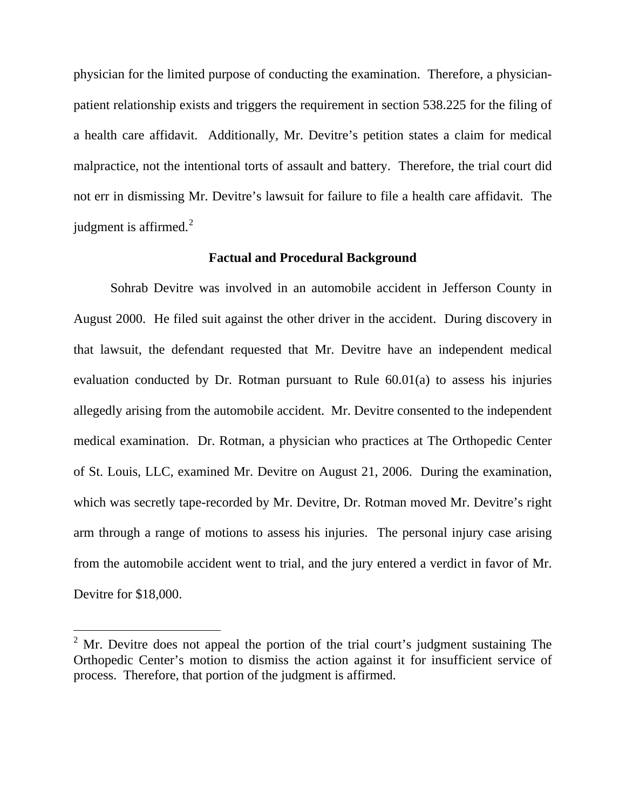physician for the limited purpose of conducting the examination. Therefore, a physicianpatient relationship exists and triggers the requirement in section 538.225 for the filing of a health care affidavit. Additionally, Mr. Devitre's petition states a claim for medical malpractice, not the intentional torts of assault and battery. Therefore, the trial court did not err in dismissing Mr. Devitre's lawsuit for failure to file a health care affidavit. The judgment is affirmed. $2$ 

#### **Factual and Procedural Background**

 Sohrab Devitre was involved in an automobile accident in Jefferson County in August 2000. He filed suit against the other driver in the accident. During discovery in that lawsuit, the defendant requested that Mr. Devitre have an independent medical evaluation conducted by Dr. Rotman pursuant to Rule 60.01(a) to assess his injuries allegedly arising from the automobile accident. Mr. Devitre consented to the independent medical examination. Dr. Rotman, a physician who practices at The Orthopedic Center of St. Louis, LLC, examined Mr. Devitre on August 21, 2006. During the examination, which was secretly tape-recorded by Mr. Devitre, Dr. Rotman moved Mr. Devitre's right arm through a range of motions to assess his injuries. The personal injury case arising from the automobile accident went to trial, and the jury entered a verdict in favor of Mr. Devitre for \$18,000.

<span id="page-1-0"></span> $2^2$  Mr. Devitre does not appeal the portion of the trial court's judgment sustaining The Orthopedic Center's motion to dismiss the action against it for insufficient service of process. Therefore, that portion of the judgment is affirmed.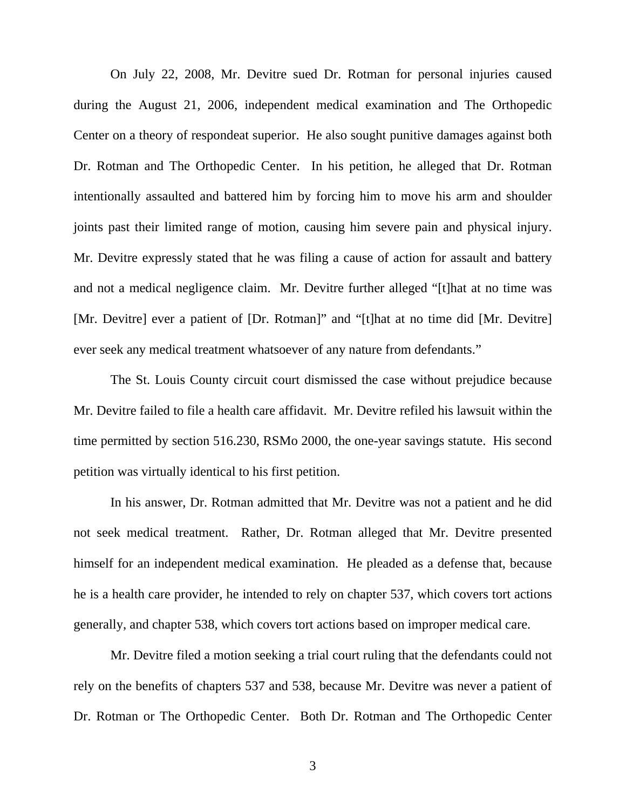On July 22, 2008, Mr. Devitre sued Dr. Rotman for personal injuries caused during the August 21, 2006, independent medical examination and The Orthopedic Center on a theory of respondeat superior. He also sought punitive damages against both Dr. Rotman and The Orthopedic Center. In his petition, he alleged that Dr. Rotman intentionally assaulted and battered him by forcing him to move his arm and shoulder joints past their limited range of motion, causing him severe pain and physical injury. Mr. Devitre expressly stated that he was filing a cause of action for assault and battery and not a medical negligence claim. Mr. Devitre further alleged "[t]hat at no time was [Mr. Devitre] ever a patient of [Dr. Rotman]" and "[t]hat at no time did [Mr. Devitre] ever seek any medical treatment whatsoever of any nature from defendants."

The St. Louis County circuit court dismissed the case without prejudice because Mr. Devitre failed to file a health care affidavit. Mr. Devitre refiled his lawsuit within the time permitted by section 516.230, RSMo 2000, the one-year savings statute. His second petition was virtually identical to his first petition.

In his answer, Dr. Rotman admitted that Mr. Devitre was not a patient and he did not seek medical treatment. Rather, Dr. Rotman alleged that Mr. Devitre presented himself for an independent medical examination. He pleaded as a defense that, because he is a health care provider, he intended to rely on chapter 537, which covers tort actions generally, and chapter 538, which covers tort actions based on improper medical care.

Mr. Devitre filed a motion seeking a trial court ruling that the defendants could not rely on the benefits of chapters 537 and 538, because Mr. Devitre was never a patient of Dr. Rotman or The Orthopedic Center. Both Dr. Rotman and The Orthopedic Center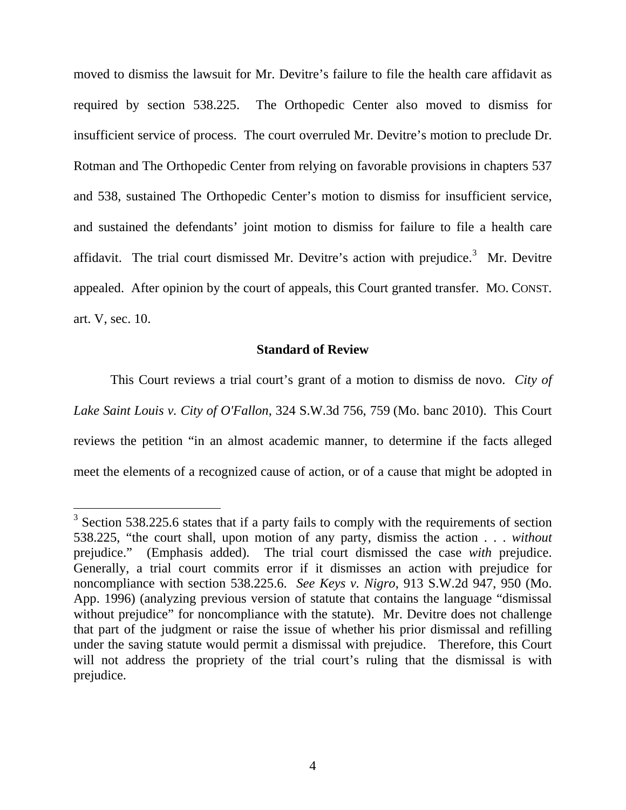moved to dismiss the lawsuit for Mr. Devitre's failure to file the health care affidavit as required by section 538.225. The Orthopedic Center also moved to dismiss for insufficient service of process. The court overruled Mr. Devitre's motion to preclude Dr. Rotman and The Orthopedic Center from relying on favorable provisions in chapters 537 and 538, sustained The Orthopedic Center's motion to dismiss for insufficient service, and sustained the defendants' joint motion to dismiss for failure to file a health care affidavit. The trial court dismissed Mr. Devitre's action with prejudice.<sup>[3](#page-3-0)</sup> Mr. Devitre appealed. After opinion by the court of appeals, this Court granted transfer. MO. CONST. art. V, sec. 10.

#### **Standard of Review**

This Court reviews a trial court's grant of a motion to dismiss de novo. *City of Lake Saint Louis v. City of O'Fallon*, 324 S.W.3d 756, 759 (Mo. banc 2010). This Court reviews the petition "in an almost academic manner, to determine if the facts alleged meet the elements of a recognized cause of action, or of a cause that might be adopted in

<span id="page-3-0"></span> $3$  Section 538.225.6 states that if a party fails to comply with the requirements of section 538.225, "the court shall, upon motion of any party, dismiss the action . . . *without* prejudice." (Emphasis added). The trial court dismissed the case *with* prejudice. Generally, a trial court commits error if it dismisses an action with prejudice for noncompliance with section 538.225.6. *See Keys v. Nigro*, 913 S.W.2d 947, 950 (Mo. App. 1996) (analyzing previous version of statute that contains the language "dismissal without prejudice" for noncompliance with the statute). Mr. Devitre does not challenge that part of the judgment or raise the issue of whether his prior dismissal and refilling under the saving statute would permit a dismissal with prejudice. Therefore, this Court will not address the propriety of the trial court's ruling that the dismissal is with prejudice.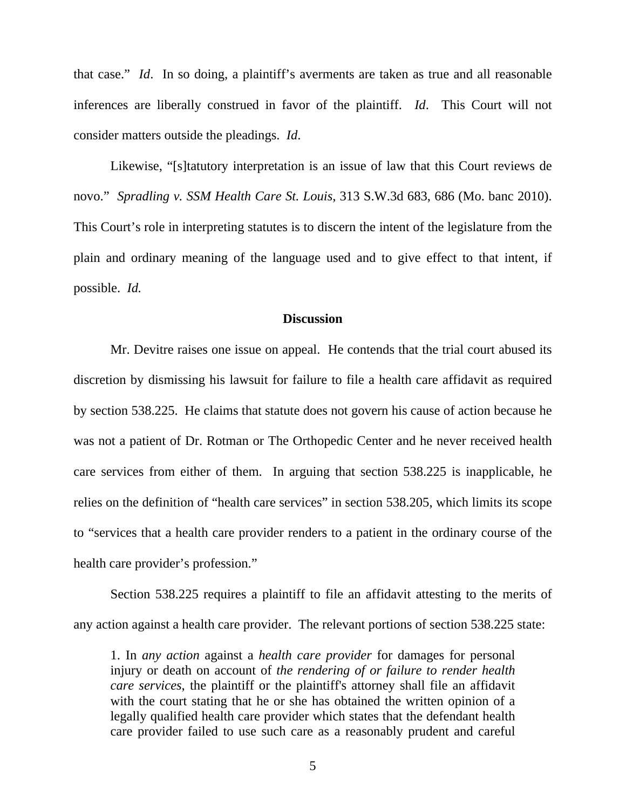that case." *Id*. In so doing, a plaintiff's averments are taken as true and all reasonable inferences are liberally construed in favor of the plaintiff. *Id*. This Court will not consider matters outside the pleadings. *Id*.

Likewise, "[s]tatutory interpretation is an issue of law that this Court reviews de novo." *Spradling v. SSM Health Care St. Louis*, 313 S.W.3d 683, 686 (Mo. banc 2010). This Court's role in interpreting statutes is to discern the intent of the legislature from the plain and ordinary meaning of the language used and to give effect to that intent, if possible. *Id.*

### **Discussion**

Mr. Devitre raises one issue on appeal. He contends that the trial court abused its discretion by dismissing his lawsuit for failure to file a health care affidavit as required by section 538.225. He claims that statute does not govern his cause of action because he was not a patient of Dr. Rotman or The Orthopedic Center and he never received health care services from either of them. In arguing that section 538.225 is inapplicable, he relies on the definition of "health care services" in section 538.205, which limits its scope to "services that a health care provider renders to a patient in the ordinary course of the health care provider's profession."

Section 538.225 requires a plaintiff to file an affidavit attesting to the merits of any action against a health care provider. The relevant portions of section 538.225 state:

1. In *any action* against a *health care provider* for damages for personal injury or death on account of *the rendering of or failure to render health care services*, the plaintiff or the plaintiff's attorney shall file an affidavit with the court stating that he or she has obtained the written opinion of a legally qualified health care provider which states that the defendant health care provider failed to use such care as a reasonably prudent and careful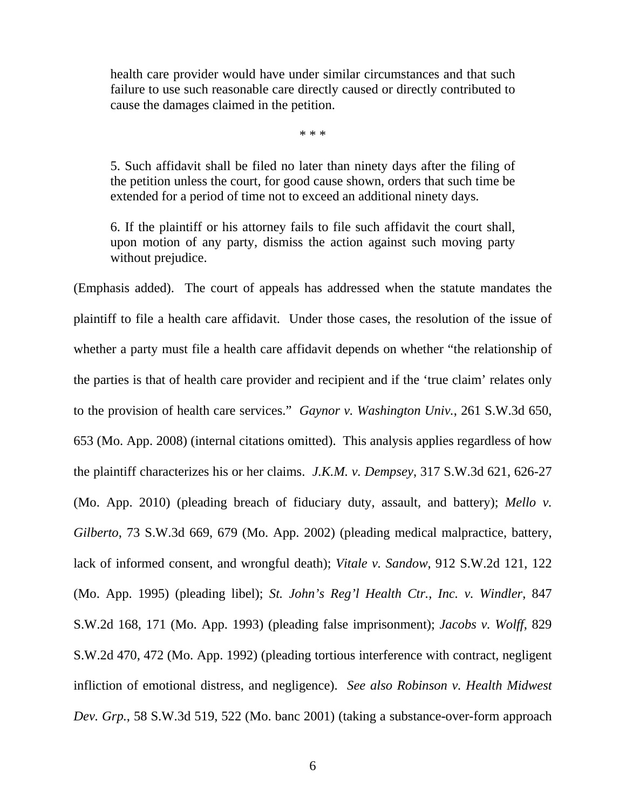health care provider would have under similar circumstances and that such failure to use such reasonable care directly caused or directly contributed to cause the damages claimed in the petition.

\* \* \*

5. Such affidavit shall be filed no later than ninety days after the filing of the petition unless the court, for good cause shown, orders that such time be extended for a period of time not to exceed an additional ninety days.

6. If the plaintiff or his attorney fails to file such affidavit the court shall, upon motion of any party, dismiss the action against such moving party without prejudice.

(Emphasis added). The court of appeals has addressed when the statute mandates the plaintiff to file a health care affidavit. Under those cases, the resolution of the issue of whether a party must file a health care affidavit depends on whether "the relationship of the parties is that of health care provider and recipient and if the 'true claim' relates only to the provision of health care services." *Gaynor v. Washington Univ.*, 261 S.W.3d 650, 653 (Mo. App. 2008) (internal citations omitted). This analysis applies regardless of how the plaintiff characterizes his or her claims. *J.K.M. v. Dempsey*, 317 S.W.3d 621, 626-27 (Mo. App. 2010) (pleading breach of fiduciary duty, assault, and battery); *Mello v. Gilberto*, 73 S.W.3d 669, 679 (Mo. App. 2002) (pleading medical malpractice, battery, lack of informed consent, and wrongful death); *Vitale v. Sandow*, 912 S.W.2d 121, 122 (Mo. App. 1995) (pleading libel); *St. John's Reg'l Health Ctr., Inc. v. Windler*, 847 S.W.2d 168, 171 (Mo. App. 1993) (pleading false imprisonment); *Jacobs v. Wolff*, 829 S.W.2d 470, 472 (Mo. App. 1992) (pleading tortious interference with contract, negligent infliction of emotional distress, and negligence). *See also Robinson v. Health Midwest Dev. Grp.*, 58 S.W.3d 519, 522 (Mo. banc 2001) (taking a substance-over-form approach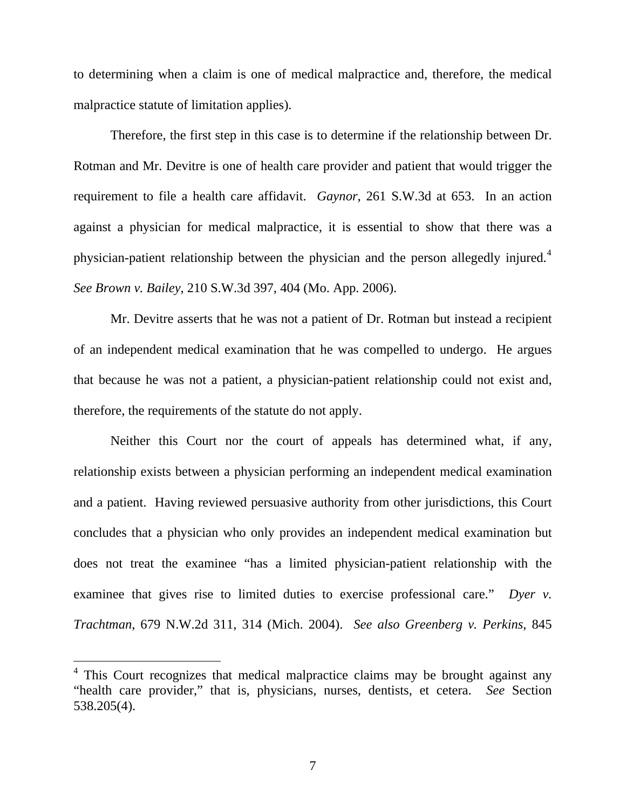to determining when a claim is one of medical malpractice and, therefore, the medical malpractice statute of limitation applies).

Therefore, the first step in this case is to determine if the relationship between Dr. Rotman and Mr. Devitre is one of health care provider and patient that would trigger the requirement to file a health care affidavit. *Gaynor*, 261 S.W.3d at 653. In an action against a physician for medical malpractice, it is essential to show that there was a physician-patient relationship between the physician and the person allegedly injured.<sup>[4](#page-6-0)</sup> *See Brown v. Bailey*, 210 S.W.3d 397, 404 (Mo. App. 2006).

Mr. Devitre asserts that he was not a patient of Dr. Rotman but instead a recipient of an independent medical examination that he was compelled to undergo. He argues that because he was not a patient, a physician-patient relationship could not exist and, therefore, the requirements of the statute do not apply.

Neither this Court nor the court of appeals has determined what, if any, relationship exists between a physician performing an independent medical examination and a patient. Having reviewed persuasive authority from other jurisdictions, this Court concludes that a physician who only provides an independent medical examination but does not treat the examinee "has a limited physician-patient relationship with the examinee that gives rise to limited duties to exercise professional care." *Dyer v. Trachtman*, 679 N.W.2d 311, 314 (Mich. 2004). *See also Greenberg v. Perkins*, 845

<span id="page-6-0"></span><sup>&</sup>lt;sup>4</sup> This Court recognizes that medical malpractice claims may be brought against any "health care provider," that is, physicians, nurses, dentists, et cetera. *See* Section 538.205(4).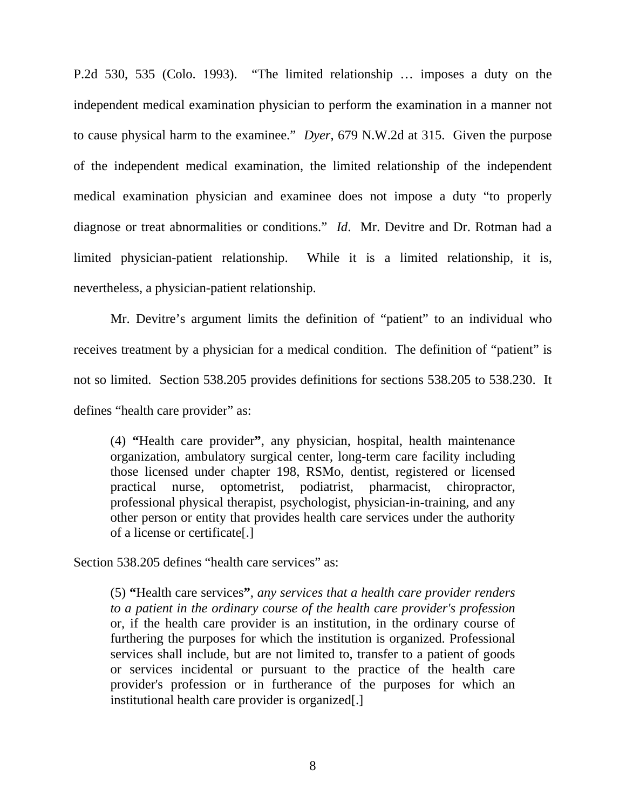P.2d 530, 535 (Colo. 1993). "The limited relationship … imposes a duty on the independent medical examination physician to perform the examination in a manner not to cause physical harm to the examinee." *Dyer*, 679 N.W.2d at 315. Given the purpose of the independent medical examination, the limited relationship of the independent medical examination physician and examinee does not impose a duty "to properly diagnose or treat abnormalities or conditions." *Id*. Mr. Devitre and Dr. Rotman had a limited physician-patient relationship. While it is a limited relationship, it is, nevertheless, a physician-patient relationship.

Mr. Devitre's argument limits the definition of "patient" to an individual who receives treatment by a physician for a medical condition. The definition of "patient" is not so limited. Section 538.205 provides definitions for sections 538.205 to 538.230. It defines "health care provider" as:

(4) **"**Health care provider**"**, any physician, hospital, health maintenance organization, ambulatory surgical center, long-term care facility including those licensed under chapter 198, RSMo, dentist, registered or licensed practical nurse, optometrist, podiatrist, pharmacist, chiropractor, professional physical therapist, psychologist, physician-in-training, and any other person or entity that provides health care services under the authority of a license or certificate[.]

Section 538.205 defines "health care services" as:

(5) **"**Health care services**"**, *any services that a health care provider renders to a patient in the ordinary course of the health care provider's profession* or, if the health care provider is an institution, in the ordinary course of furthering the purposes for which the institution is organized. Professional services shall include, but are not limited to, transfer to a patient of goods or services incidental or pursuant to the practice of the health care provider's profession or in furtherance of the purposes for which an institutional health care provider is organized[.]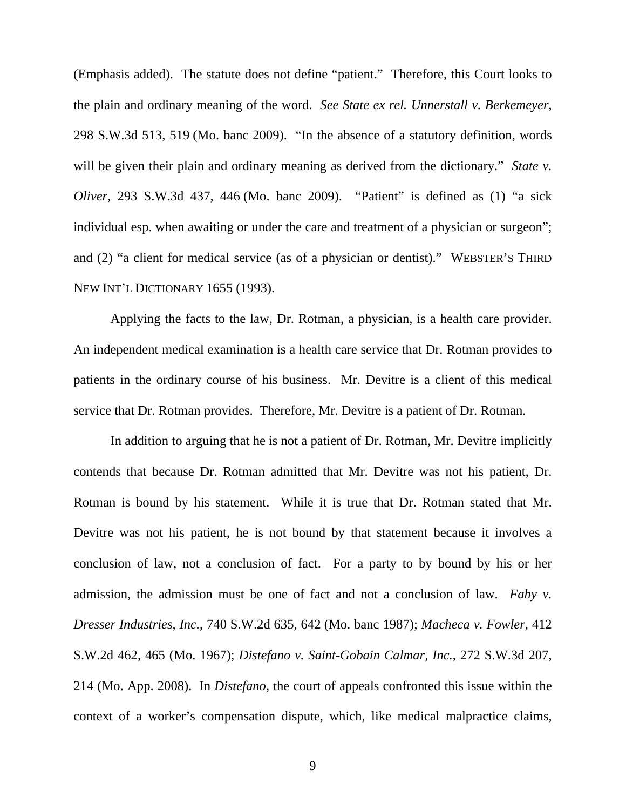(Emphasis added). The statute does not define "patient." Therefore, this Court looks to the plain and ordinary meaning of the word. *See State ex rel. Unnerstall v. Berkemeyer*, 298 S.W.3d 513, 519 (Mo. banc 2009). "In the absence of a statutory definition, words will be given their plain and ordinary meaning as derived from the dictionary." *State v. Oliver*, 293 S.W.3d 437, 446 (Mo. banc 2009). "Patient" is defined as (1) "a sick individual esp. when awaiting or under the care and treatment of a physician or surgeon"; and (2) "a client for medical service (as of a physician or dentist)." WEBSTER'S THIRD NEW INT'L DICTIONARY 1655 (1993).

Applying the facts to the law, Dr. Rotman, a physician, is a health care provider. An independent medical examination is a health care service that Dr. Rotman provides to patients in the ordinary course of his business. Mr. Devitre is a client of this medical service that Dr. Rotman provides. Therefore, Mr. Devitre is a patient of Dr. Rotman.

In addition to arguing that he is not a patient of Dr. Rotman, Mr. Devitre implicitly contends that because Dr. Rotman admitted that Mr. Devitre was not his patient, Dr. Rotman is bound by his statement. While it is true that Dr. Rotman stated that Mr. Devitre was not his patient, he is not bound by that statement because it involves a conclusion of law, not a conclusion of fact. For a party to by bound by his or her admission, the admission must be one of fact and not a conclusion of law. *Fahy v. Dresser Industries, Inc.*, 740 S.W.2d 635, 642 (Mo. banc 1987); *Macheca v. Fowler*, 412 S.W.2d 462, 465 (Mo. 1967); *Distefano v. Saint-Gobain Calmar, Inc.*, 272 S.W.3d 207, 214 (Mo. App. 2008). In *Distefano*, the court of appeals confronted this issue within the context of a worker's compensation dispute, which, like medical malpractice claims,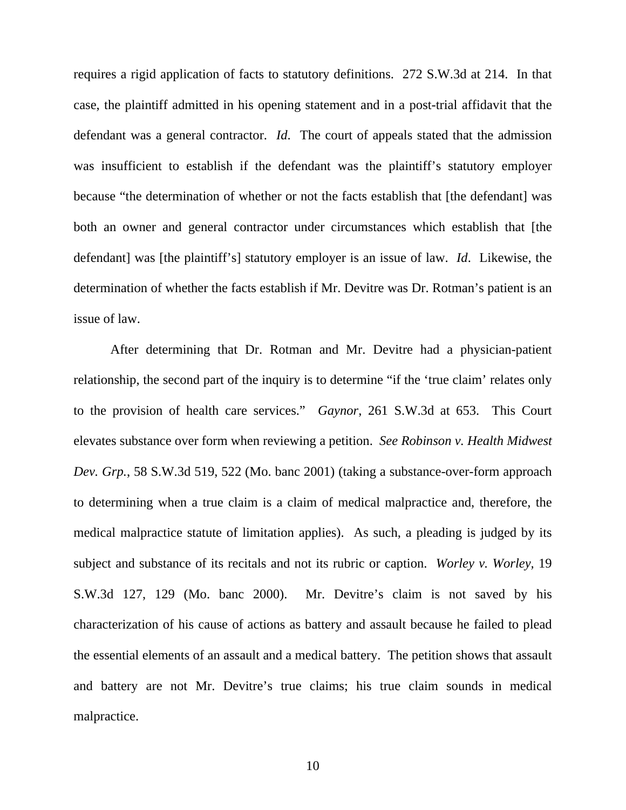requires a rigid application of facts to statutory definitions. 272 S.W.3d at 214. In that case, the plaintiff admitted in his opening statement and in a post-trial affidavit that the defendant was a general contractor. *Id*. The court of appeals stated that the admission was insufficient to establish if the defendant was the plaintiff's statutory employer because "the determination of whether or not the facts establish that [the defendant] was both an owner and general contractor under circumstances which establish that [the defendant] was [the plaintiff's] statutory employer is an issue of law. *Id*. Likewise, the determination of whether the facts establish if Mr. Devitre was Dr. Rotman's patient is an issue of law.

After determining that Dr. Rotman and Mr. Devitre had a physician-patient relationship, the second part of the inquiry is to determine "if the 'true claim' relates only to the provision of health care services." *Gaynor*, 261 S.W.3d at 653. This Court elevates substance over form when reviewing a petition. *See Robinson v. Health Midwest Dev. Grp.*, 58 S.W.3d 519, 522 (Mo. banc 2001) (taking a substance-over-form approach to determining when a true claim is a claim of medical malpractice and, therefore, the medical malpractice statute of limitation applies). As such, a pleading is judged by its subject and substance of its recitals and not its rubric or caption. *Worley v. Worley,* 19 S.W.3d 127, 129 (Mo. banc 2000). Mr. Devitre's claim is not saved by his characterization of his cause of actions as battery and assault because he failed to plead the essential elements of an assault and a medical battery. The petition shows that assault and battery are not Mr. Devitre's true claims; his true claim sounds in medical malpractice.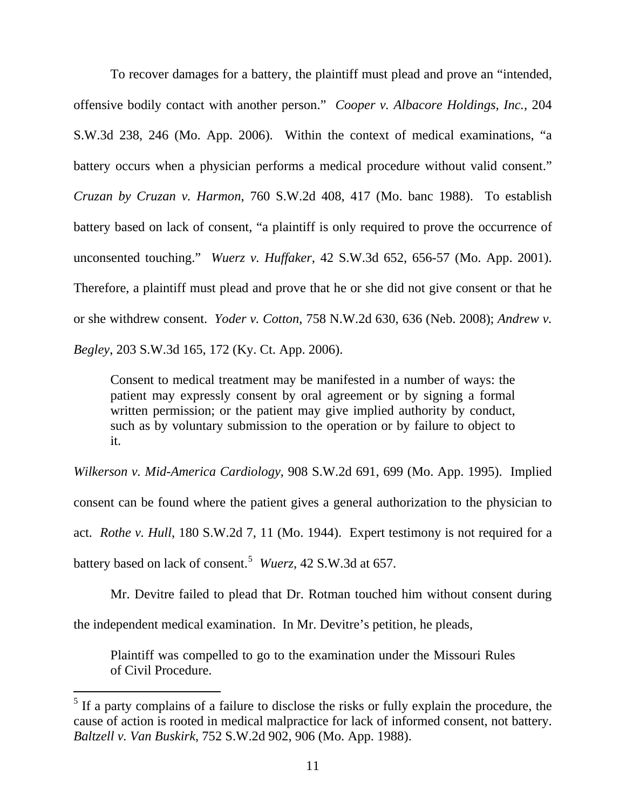To recover damages for a battery, the plaintiff must plead and prove an "intended, offensive bodily contact with another person." *Cooper v. Albacore Holdings, Inc.*, 204 S.W.3d 238, 246 (Mo. App. 2006). Within the context of medical examinations, "a battery occurs when a physician performs a medical procedure without valid consent." *Cruzan by Cruzan v. Harmon*, 760 S.W.2d 408, 417 (Mo. banc 1988). To establish battery based on lack of consent, "a plaintiff is only required to prove the occurrence of unconsented touching." *Wuerz v. Huffaker*, 42 S.W.3d 652, 656-57 (Mo. App. 2001). Therefore, a plaintiff must plead and prove that he or she did not give consent or that he or she withdrew consent. *Yoder v. Cotton*, 758 N.W.2d 630, 636 (Neb. 2008); *Andrew v. Begley*, 203 S.W.3d 165, 172 (Ky. Ct. App. 2006).

Consent to medical treatment may be manifested in a number of ways: the patient may expressly consent by oral agreement or by signing a formal written permission; or the patient may give implied authority by conduct, such as by voluntary submission to the operation or by failure to object to it.

*Wilkerson v. Mid-America Cardiology*, 908 S.W.2d 691, 699 (Mo. App. 1995). Implied consent can be found where the patient gives a general authorization to the physician to act. *Rothe v. Hull*, 180 S.W.2d 7, 11 (Mo. 1944). Expert testimony is not required for a battery based on lack of consent.[5](#page-10-0) *Wuerz*, 42 S.W.3d at 657.

Mr. Devitre failed to plead that Dr. Rotman touched him without consent during the independent medical examination. In Mr. Devitre's petition, he pleads,

Plaintiff was compelled to go to the examination under the Missouri Rules of Civil Procedure.

<span id="page-10-0"></span> $<sup>5</sup>$  If a party complains of a failure to disclose the risks or fully explain the procedure, the</sup> cause of action is rooted in medical malpractice for lack of informed consent, not battery. *Baltzell v. Van Buskirk*, 752 S.W.2d 902, 906 (Mo. App. 1988).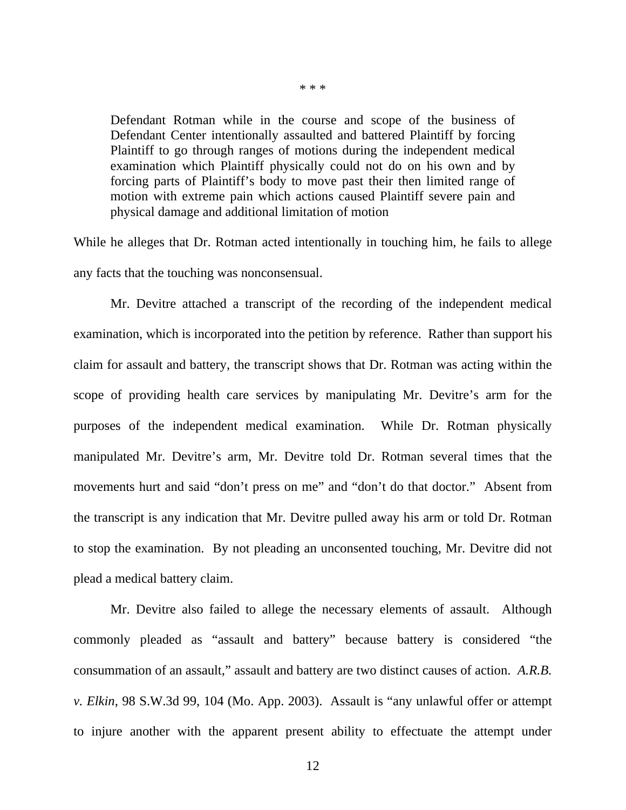Defendant Rotman while in the course and scope of the business of Defendant Center intentionally assaulted and battered Plaintiff by forcing Plaintiff to go through ranges of motions during the independent medical examination which Plaintiff physically could not do on his own and by forcing parts of Plaintiff's body to move past their then limited range of motion with extreme pain which actions caused Plaintiff severe pain and physical damage and additional limitation of motion

While he alleges that Dr. Rotman acted intentionally in touching him, he fails to allege any facts that the touching was nonconsensual.

Mr. Devitre attached a transcript of the recording of the independent medical examination, which is incorporated into the petition by reference. Rather than support his claim for assault and battery, the transcript shows that Dr. Rotman was acting within the scope of providing health care services by manipulating Mr. Devitre's arm for the purposes of the independent medical examination. While Dr. Rotman physically manipulated Mr. Devitre's arm, Mr. Devitre told Dr. Rotman several times that the movements hurt and said "don't press on me" and "don't do that doctor." Absent from the transcript is any indication that Mr. Devitre pulled away his arm or told Dr. Rotman to stop the examination. By not pleading an unconsented touching, Mr. Devitre did not plead a medical battery claim.

Mr. Devitre also failed to allege the necessary elements of assault. Although commonly pleaded as "assault and battery" because battery is considered "the consummation of an assault," assault and battery are two distinct causes of action. *A.R.B. v. Elkin*, 98 S.W.3d 99, 104 (Mo. App. 2003). Assault is "any unlawful offer or attempt to injure another with the apparent present ability to effectuate the attempt under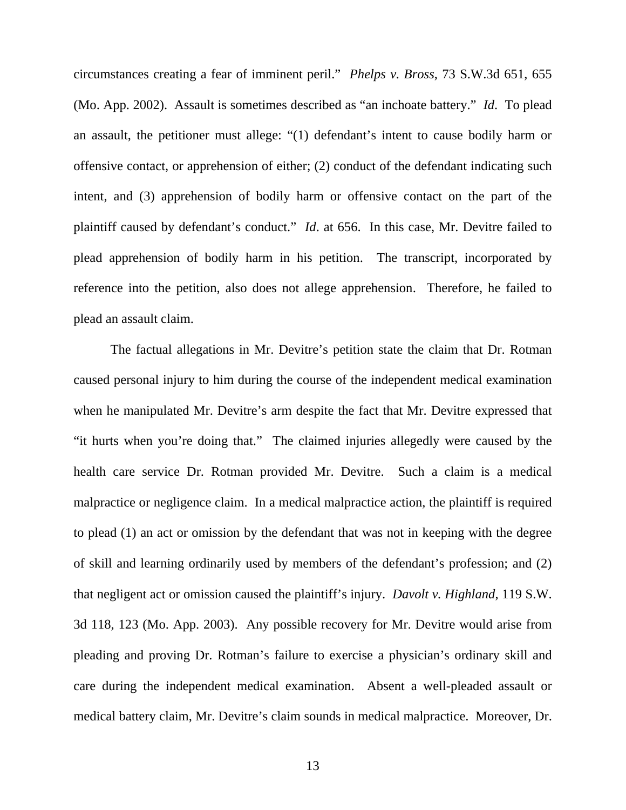circumstances creating a fear of imminent peril." *Phelps v. Bross*, 73 S.W.3d 651, 655 (Mo. App. 2002). Assault is sometimes described as "an inchoate battery." *Id*. To plead an assault, the petitioner must allege: "(1) defendant's intent to cause bodily harm or offensive contact, or apprehension of either; (2) conduct of the defendant indicating such intent, and (3) apprehension of bodily harm or offensive contact on the part of the plaintiff caused by defendant's conduct." *Id*. at 656. In this case, Mr. Devitre failed to plead apprehension of bodily harm in his petition. The transcript, incorporated by reference into the petition, also does not allege apprehension. Therefore, he failed to plead an assault claim.

The factual allegations in Mr. Devitre's petition state the claim that Dr. Rotman caused personal injury to him during the course of the independent medical examination when he manipulated Mr. Devitre's arm despite the fact that Mr. Devitre expressed that "it hurts when you're doing that." The claimed injuries allegedly were caused by the health care service Dr. Rotman provided Mr. Devitre. Such a claim is a medical malpractice or negligence claim. In a medical malpractice action, the plaintiff is required to plead (1) an act or omission by the defendant that was not in keeping with the degree of skill and learning ordinarily used by members of the defendant's profession; and (2) that negligent act or omission caused the plaintiff's injury. *Davolt v. Highland*, 119 S.W. 3d 118, 123 (Mo. App. 2003). Any possible recovery for Mr. Devitre would arise from pleading and proving Dr. Rotman's failure to exercise a physician's ordinary skill and care during the independent medical examination. Absent a well-pleaded assault or medical battery claim, Mr. Devitre's claim sounds in medical malpractice. Moreover, Dr.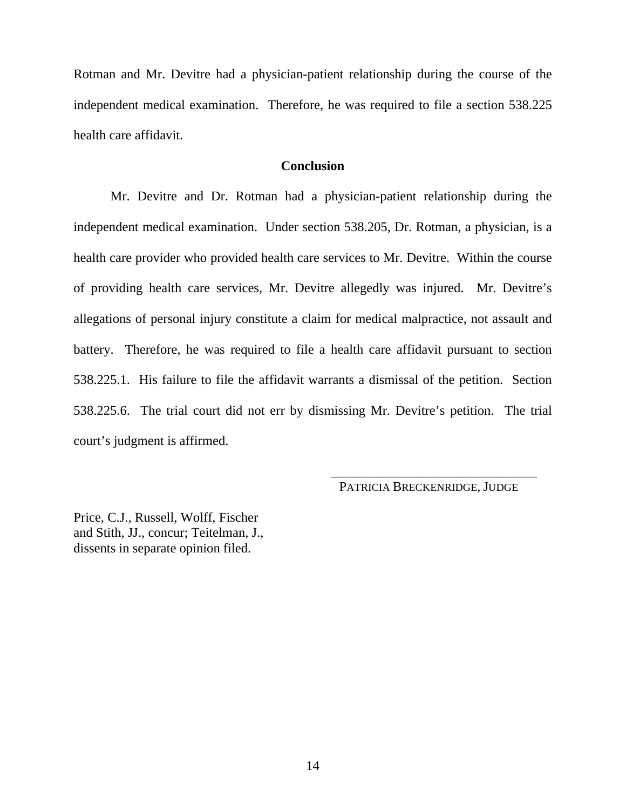Rotman and Mr. Devitre had a physician-patient relationship during the course of the independent medical examination. Therefore, he was required to file a section 538.225 health care affidavit.

### **Conclusion**

Mr. Devitre and Dr. Rotman had a physician-patient relationship during the independent medical examination. Under section 538.205, Dr. Rotman, a physician, is a health care provider who provided health care services to Mr. Devitre. Within the course of providing health care services, Mr. Devitre allegedly was injured. Mr. Devitre's allegations of personal injury constitute a claim for medical malpractice, not assault and battery. Therefore, he was required to file a health care affidavit pursuant to section 538.225.1. His failure to file the affidavit warrants a dismissal of the petition. Section 538.225.6. The trial court did not err by dismissing Mr. Devitre's petition. The trial court's judgment is affirmed.

PATRICIA BRECKENRIDGE, JUDGE

\_\_\_\_\_\_\_\_\_\_\_\_\_\_\_\_\_\_\_\_\_\_\_\_\_\_\_\_\_\_\_

Price, C.J., Russell, Wolff, Fischer and Stith, JJ., concur; Teitelman, J., dissents in separate opinion filed.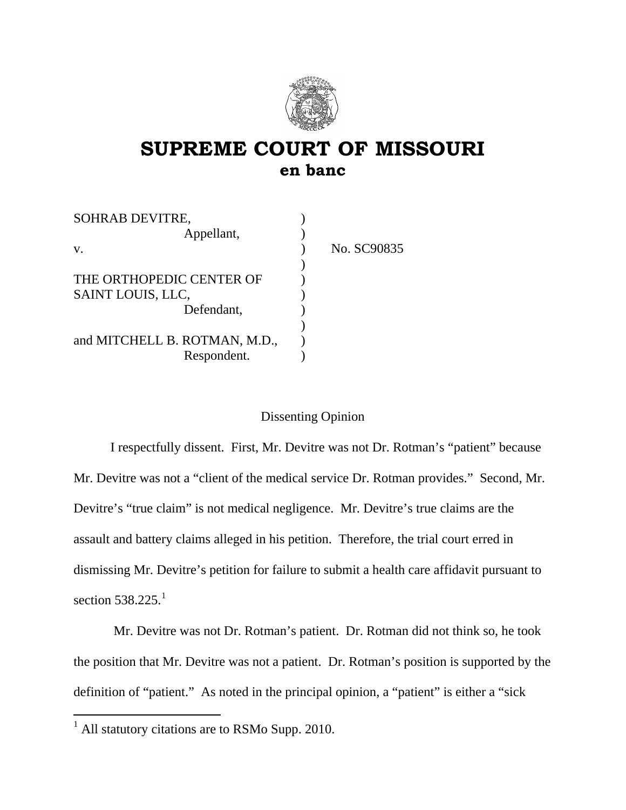

## **SUPREME COURT OF MISSOURI en banc**

| <b>SOHRAB DEVITRE,</b>        |             |
|-------------------------------|-------------|
| Appellant,                    |             |
| V.                            | No. SC90835 |
|                               |             |
| THE ORTHOPEDIC CENTER OF      |             |
| SAINT LOUIS, LLC,             |             |
| Defendant,                    |             |
|                               |             |
| and MITCHELL B. ROTMAN, M.D., |             |
| Respondent.                   |             |

### Dissenting Opinion

I respectfully dissent. First, Mr. Devitre was not Dr. Rotman's "patient" because Mr. Devitre was not a "client of the medical service Dr. Rotman provides." Second, Mr. Devitre's "true claim" is not medical negligence. Mr. Devitre's true claims are the assault and battery claims alleged in his petition. Therefore, the trial court erred in dismissing Mr. Devitre's petition for failure to submit a health care affidavit pursuant to section  $538.225$ <sup>[1](#page-14-0)</sup>

 Mr. Devitre was not Dr. Rotman's patient. Dr. Rotman did not think so, he took the position that Mr. Devitre was not a patient. Dr. Rotman's position is supported by the definition of "patient." As noted in the principal opinion, a "patient" is either a "sick

<span id="page-14-0"></span> $<sup>1</sup>$  All statutory citations are to RSMo Supp. 2010.</sup>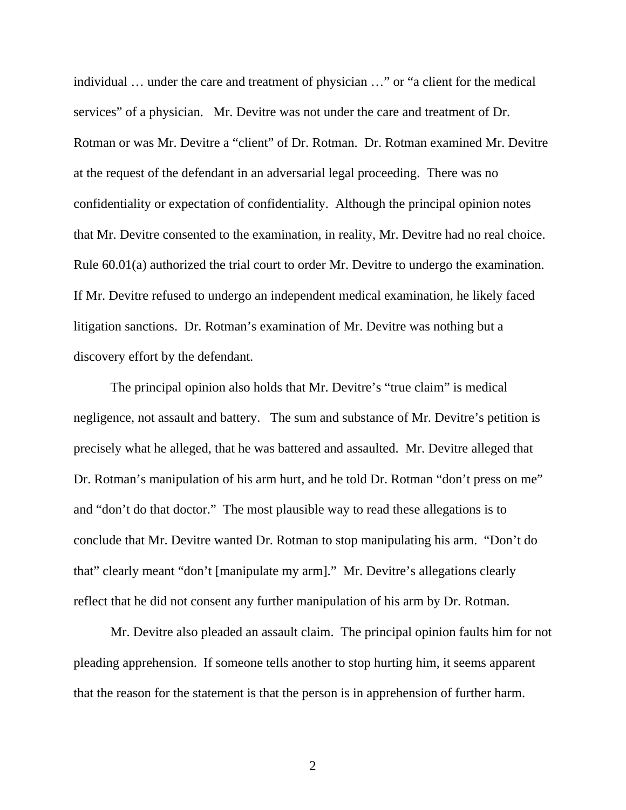individual … under the care and treatment of physician …" or "a client for the medical services" of a physician. Mr. Devitre was not under the care and treatment of Dr. Rotman or was Mr. Devitre a "client" of Dr. Rotman. Dr. Rotman examined Mr. Devitre at the request of the defendant in an adversarial legal proceeding. There was no confidentiality or expectation of confidentiality. Although the principal opinion notes that Mr. Devitre consented to the examination, in reality, Mr. Devitre had no real choice. Rule 60.01(a) authorized the trial court to order Mr. Devitre to undergo the examination. If Mr. Devitre refused to undergo an independent medical examination, he likely faced litigation sanctions. Dr. Rotman's examination of Mr. Devitre was nothing but a discovery effort by the defendant.

The principal opinion also holds that Mr. Devitre's "true claim" is medical negligence, not assault and battery. The sum and substance of Mr. Devitre's petition is precisely what he alleged, that he was battered and assaulted. Mr. Devitre alleged that Dr. Rotman's manipulation of his arm hurt, and he told Dr. Rotman "don't press on me" and "don't do that doctor." The most plausible way to read these allegations is to conclude that Mr. Devitre wanted Dr. Rotman to stop manipulating his arm. "Don't do that" clearly meant "don't [manipulate my arm]." Mr. Devitre's allegations clearly reflect that he did not consent any further manipulation of his arm by Dr. Rotman.

Mr. Devitre also pleaded an assault claim. The principal opinion faults him for not pleading apprehension. If someone tells another to stop hurting him, it seems apparent that the reason for the statement is that the person is in apprehension of further harm.